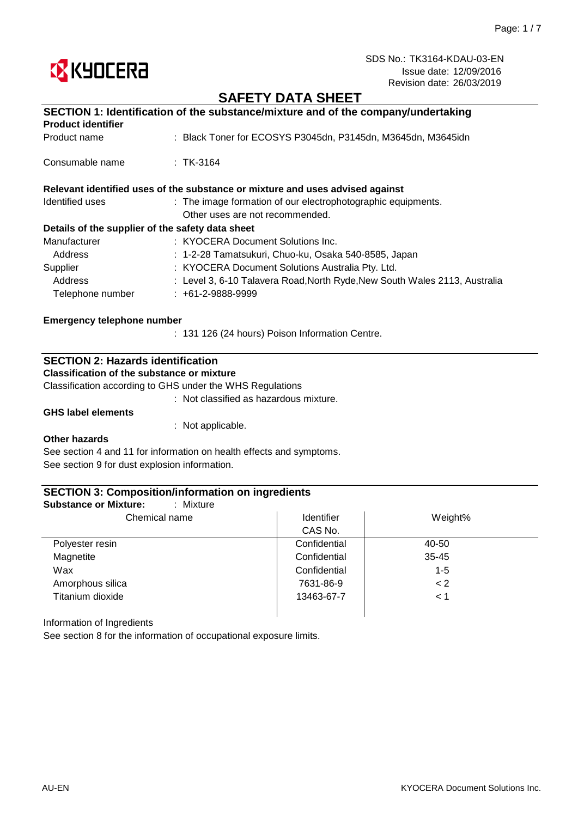

# **SAFETY DATA SHEET**

| SECTION 1: Identification of the substance/mixture and of the company/undertaking |                                                                               |  |
|-----------------------------------------------------------------------------------|-------------------------------------------------------------------------------|--|
| <b>Product identifier</b>                                                         |                                                                               |  |
| Product name                                                                      | : Black Toner for ECOSYS P3045dn, P3145dn, M3645dn, M3645idn                  |  |
| Consumable name                                                                   | $\pm$ TK-3164                                                                 |  |
|                                                                                   | Relevant identified uses of the substance or mixture and uses advised against |  |
| Identified uses                                                                   | : The image formation of our electrophotographic equipments.                  |  |
|                                                                                   | Other uses are not recommended.                                               |  |
| Details of the supplier of the safety data sheet                                  |                                                                               |  |
| Manufacturer                                                                      | : KYOCERA Document Solutions Inc.                                             |  |
| Address                                                                           | : 1-2-28 Tamatsukuri, Chuo-ku, Osaka 540-8585, Japan                          |  |
| Supplier                                                                          | : KYOCERA Document Solutions Australia Pty. Ltd.                              |  |
| Address                                                                           | : Level 3, 6-10 Talavera Road, North Ryde, New South Wales 2113, Australia    |  |
| Telephone number                                                                  | $: +61-2-9888-9999$                                                           |  |
| Emergency telephone number                                                        |                                                                               |  |
|                                                                                   | : 131 126 (24 hours) Poison Information Centre.                               |  |

## **SECTION 2: Hazards identification**

**Classification of the substance or mixture**

Classification according to GHS under the WHS Regulations

: Not classified as hazardous mixture.

**GHS label elements**

: Not applicable.

#### **Other hazards**

See section 4 and 11 for information on health effects and symptoms. See section 9 for dust explosion information.

### **SECTION 3: Composition/information on ingredients**

| Chemical name    | Identifier   | Weight%   |  |
|------------------|--------------|-----------|--|
|                  | CAS No.      |           |  |
| Polyester resin  | Confidential | 40-50     |  |
| Magnetite        | Confidential | $35 - 45$ |  |
| Wax              | Confidential | $1 - 5$   |  |
| Amorphous silica | 7631-86-9    | < 2       |  |
| Titanium dioxide | 13463-67-7   | < 1       |  |

Information of Ingredients

See section 8 for the information of occupational exposure limits.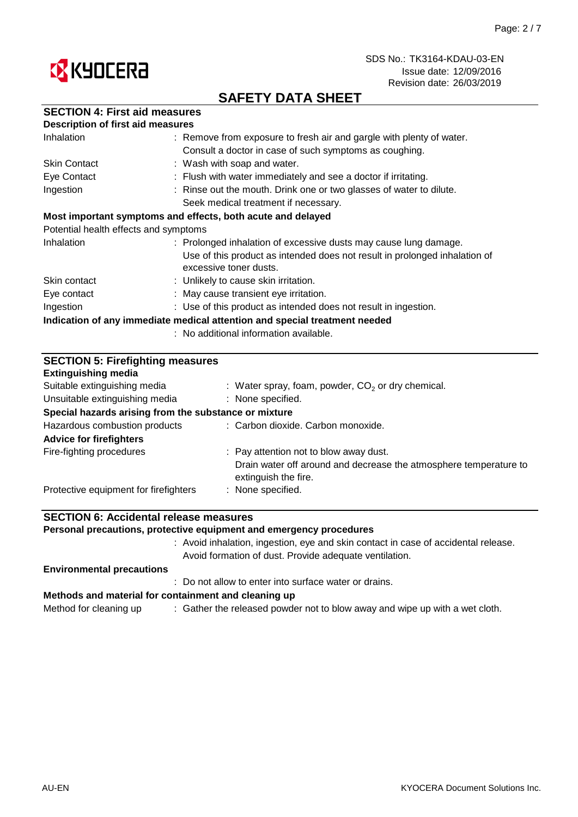

# **SAFETY DATA SHEET**

## **SECTION 4: First aid measures**

| <b>Description of first aid measures</b> |                                                                                                      |
|------------------------------------------|------------------------------------------------------------------------------------------------------|
| Inhalation                               | : Remove from exposure to fresh air and gargle with plenty of water.                                 |
|                                          | Consult a doctor in case of such symptoms as coughing.                                               |
| <b>Skin Contact</b>                      | : Wash with soap and water.                                                                          |
| Eye Contact                              | : Flush with water immediately and see a doctor if irritating.                                       |
| Ingestion                                | : Rinse out the mouth. Drink one or two glasses of water to dilute.                                  |
|                                          | Seek medical treatment if necessary.                                                                 |
|                                          | Most important symptoms and effects, both acute and delayed                                          |
| Potential health effects and symptoms    |                                                                                                      |
| Inhalation                               | : Prolonged inhalation of excessive dusts may cause lung damage.                                     |
|                                          | Use of this product as intended does not result in prolonged inhalation of<br>excessive toner dusts. |
| Skin contact                             | : Unlikely to cause skin irritation.                                                                 |
| Eye contact                              | : May cause transient eye irritation.                                                                |
| Ingestion                                | : Use of this product as intended does not result in ingestion.                                      |
|                                          | Indication of any immediate medical attention and special treatment needed                           |
|                                          | : No additional information available.                                                               |

|    |  | <b>SECTION 5: Firefighting measures</b> |  |
|----|--|-----------------------------------------|--|
| -- |  |                                         |  |

| Extinguishing media                                   |                                                                                           |
|-------------------------------------------------------|-------------------------------------------------------------------------------------------|
| Suitable extinguishing media                          | : Water spray, foam, powder, $CO2$ or dry chemical.                                       |
| Unsuitable extinguishing media                        | : None specified.                                                                         |
| Special hazards arising from the substance or mixture |                                                                                           |
| Hazardous combustion products                         | : Carbon dioxide. Carbon monoxide.                                                        |
| <b>Advice for firefighters</b>                        |                                                                                           |
| Fire-fighting procedures                              | : Pay attention not to blow away dust.                                                    |
|                                                       | Drain water off around and decrease the atmosphere temperature to<br>extinguish the fire. |
| Protective equipment for firefighters                 | : None specified.                                                                         |
|                                                       |                                                                                           |

## **SECTION 6: Accidental release measures**

**Personal precautions, protective equipment and emergency procedures**

: Avoid inhalation, ingestion, eye and skin contact in case of accidental release. Avoid formation of dust. Provide adequate ventilation.

#### **Environmental precautions**

: Do not allow to enter into surface water or drains.

#### **Methods and material for containment and cleaning up**

Method for cleaning up  $\qquad \qquad :$  Gather the released powder not to blow away and wipe up with a wet cloth.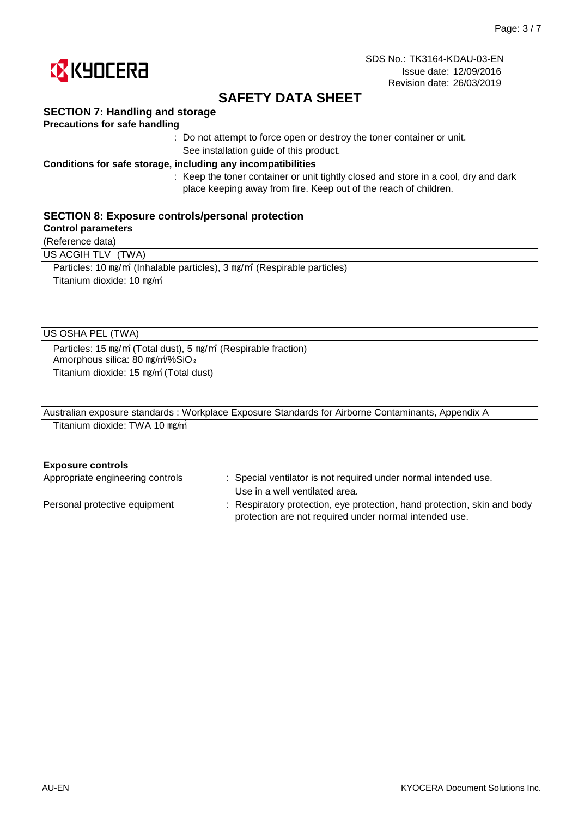

# **SAFETY DATA SHEET**

## **SECTION 7: Handling and storage**

### **Precautions for safe handling**

: Do not attempt to force open or destroy the toner container or unit. See installation guide of this product.

### **Conditions for safe storage, including any incompatibilities**

: Keep the toner container or unit tightly closed and store in a cool, dry and dark place keeping away from fire. Keep out of the reach of children.

#### **SECTION 8: Exposure controls/personal protection**

#### **Control parameters**

(Reference data)

US ACGIH TLV (TWA)

Particles: 10 ㎎/㎥ (Inhalable particles), 3 ㎎/㎥ (Respirable particles) Titanium dioxide: 10  $mg/m$ 

### US OSHA PEL (TWA)

Particles: 15 ㎎/㎥ (Total dust), 5 ㎎/㎥ (Respirable fraction) Amorphous silica: 80 mg/m<sup>3</sup>%SiO<sub>2</sub> Titanium dioxide: 15 ㎎/㎥ (Total dust)

| Australian exposure standards: Workplace Exposure Standards for Airborne Contaminants, Appendix A |  |
|---------------------------------------------------------------------------------------------------|--|
| Titanium dioxide: TWA 10 mg/m                                                                     |  |

#### **Exposure controls**

| Appropriate engineering controls | : Special ventilator is not required under normal intended use.                                                                    |
|----------------------------------|------------------------------------------------------------------------------------------------------------------------------------|
|                                  | Use in a well ventilated area.                                                                                                     |
| Personal protective equipment    | : Respiratory protection, eye protection, hand protection, skin and body<br>protection are not required under normal intended use. |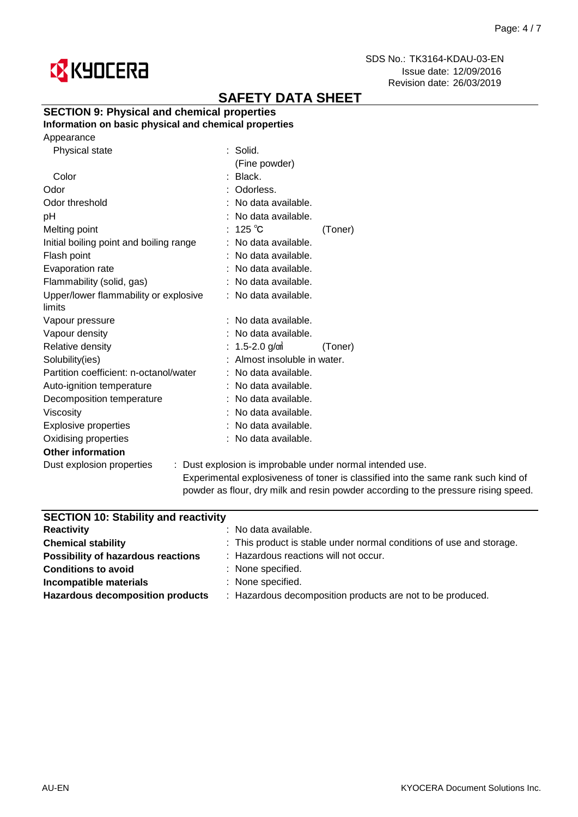

# **SAFETY DATA SHEET**

## **SECTION 9: Physical and chemical properties**

## **Information on basic physical and chemical properties**

| Appearance |
|------------|
|------------|

| Physical state                          | $:$ Solid.                                       |
|-----------------------------------------|--------------------------------------------------|
|                                         | (Fine powder)                                    |
| Color                                   | : Black.                                         |
| Odor                                    | : Odorless.                                      |
| Odor threshold                          | : No data available.                             |
| рH                                      | : No data available.                             |
| Melting point                           | : $125^{\circ}$ C<br>(Toner)                     |
| Initial boiling point and boiling range | : No data available.                             |
| Flash point                             | : No data available.                             |
| Evaporation rate                        | : No data available.                             |
| Flammability (solid, gas)               | : No data available.                             |
| Upper/lower flammability or explosive   | : No data available.                             |
| limits                                  |                                                  |
| Vapour pressure                         | No data available.                               |
| Vapour density                          | No data available.                               |
| Relative density                        | 1.5-2.0 $g/m$<br>(Toner)                         |
| Solubility(ies)                         | Almost insoluble in water.                       |
| Partition coefficient: n-octanol/water  | : No data available.                             |
| Auto-ignition temperature               | No data available.                               |
| Decomposition temperature               | : No data available.                             |
| Viscosity                               | : No data available.                             |
| <b>Explosive properties</b>             | : No data available.                             |
| Oxidising properties                    | : No data available.                             |
| <b>Other information</b>                |                                                  |
| Dust explosion properties               | : Dust explosion is improbable under normal inte |
|                                         |                                                  |

tended use. Experimental explosiveness of toner is classified into the same rank such kind of powder as flour, dry milk and resin powder according to the pressure rising speed.

| <b>SECTION 10: Stability and reactivity</b>                          |  |  |
|----------------------------------------------------------------------|--|--|
| : No data available.                                                 |  |  |
| : This product is stable under normal conditions of use and storage. |  |  |
| : Hazardous reactions will not occur.                                |  |  |
| : None specified.                                                    |  |  |
| : None specified.                                                    |  |  |
| : Hazardous decomposition products are not to be produced.           |  |  |
|                                                                      |  |  |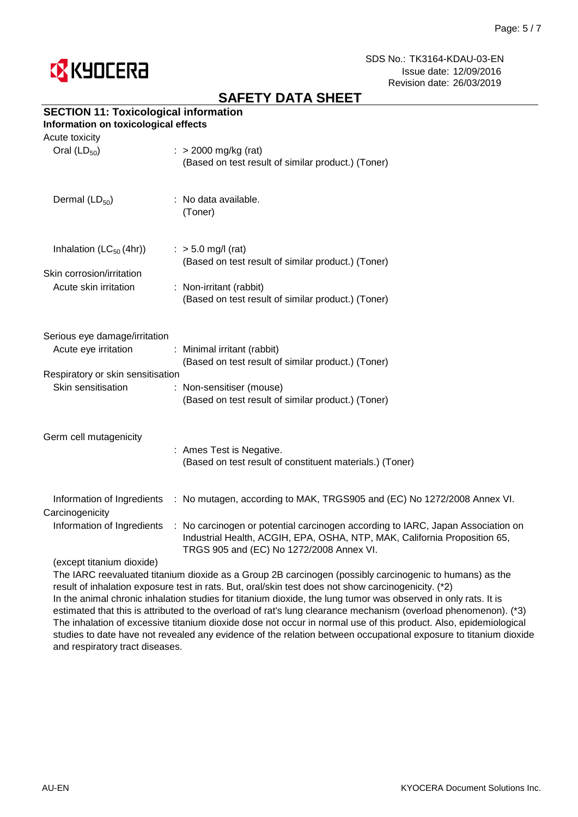

# **SAFETY DATA SHEET**

## **SECTION 11: Toxicological information**

### **Information on toxicological effects**

| Acute toxicity                                          |                                                                                                                                                                                                          |
|---------------------------------------------------------|----------------------------------------------------------------------------------------------------------------------------------------------------------------------------------------------------------|
| Oral $(LD_{50})$                                        | $\therefore$ > 2000 mg/kg (rat)<br>(Based on test result of similar product.) (Toner)                                                                                                                    |
| Dermal (LD <sub>50</sub> )                              | : No data available.<br>(Toner)                                                                                                                                                                          |
| Inhalation $(LC_{50}(4hr))$                             | $:$ > 5.0 mg/l (rat)<br>(Based on test result of similar product.) (Toner)                                                                                                                               |
| Skin corrosion/irritation<br>Acute skin irritation      | : Non-irritant (rabbit)<br>(Based on test result of similar product.) (Toner)                                                                                                                            |
| Serious eye damage/irritation                           |                                                                                                                                                                                                          |
| Acute eye irritation                                    | : Minimal irritant (rabbit)<br>(Based on test result of similar product.) (Toner)                                                                                                                        |
| Respiratory or skin sensitisation<br>Skin sensitisation | : Non-sensitiser (mouse)<br>(Based on test result of similar product.) (Toner)                                                                                                                           |
| Germ cell mutagenicity                                  | : Ames Test is Negative.<br>(Based on test result of constituent materials.) (Toner)                                                                                                                     |
| Carcinogenicity                                         | Information of Ingredients : No mutagen, according to MAK, TRGS905 and (EC) No 1272/2008 Annex VI.                                                                                                       |
| Information of Ingredients                              | : No carcinogen or potential carcinogen according to IARC, Japan Association on<br>Industrial Health, ACGIH, EPA, OSHA, NTP, MAK, California Proposition 65,<br>TRGS 905 and (EC) No 1272/2008 Annex VI. |
| (excent titanium dioxide)                               |                                                                                                                                                                                                          |

#### ept titanium dioxide)

The IARC reevaluated titanium dioxide as a Group 2B carcinogen (possibly carcinogenic to humans) as the result of inhalation exposure test in rats. But, oral/skin test does not show carcinogenicity. (\*2) In the animal chronic inhalation studies for titanium dioxide, the lung tumor was observed in only rats. It is estimated that this is attributed to the overload of rat's lung clearance mechanism (overload phenomenon). (\*3) The inhalation of excessive titanium dioxide dose not occur in normal use of this product. Also, epidemiological studies to date have not revealed any evidence of the relation between occupational exposure to titanium dioxide and respiratory tract diseases.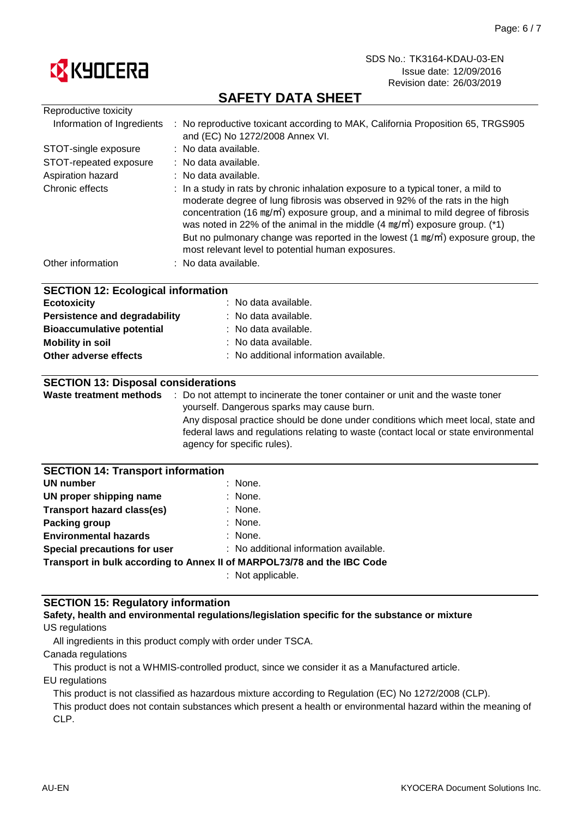

# **SAFETY DATA SHEET**

| Reproductive toxicity                                      |                                                                                                                                                                                                                                                                                                                                                                                                                                                                                                                 |
|------------------------------------------------------------|-----------------------------------------------------------------------------------------------------------------------------------------------------------------------------------------------------------------------------------------------------------------------------------------------------------------------------------------------------------------------------------------------------------------------------------------------------------------------------------------------------------------|
| Information of Ingredients                                 | : No reproductive toxicant according to MAK, California Proposition 65, TRGS905<br>and (EC) No 1272/2008 Annex VI.                                                                                                                                                                                                                                                                                                                                                                                              |
| STOT-single exposure                                       | : No data available.                                                                                                                                                                                                                                                                                                                                                                                                                                                                                            |
| STOT-repeated exposure                                     | : No data available.                                                                                                                                                                                                                                                                                                                                                                                                                                                                                            |
| Aspiration hazard                                          | : No data available.                                                                                                                                                                                                                                                                                                                                                                                                                                                                                            |
| Chronic effects                                            | : In a study in rats by chronic inhalation exposure to a typical toner, a mild to<br>moderate degree of lung fibrosis was observed in 92% of the rats in the high<br>concentration (16 mg/m <sup>3</sup> ) exposure group, and a minimal to mild degree of fibrosis<br>was noted in 22% of the animal in the middle $(4 \text{ mg/m}^3)$ exposure group. (*1)<br>But no pulmonary change was reported in the lowest $(1 \text{ mg/m})$ exposure group, the<br>most relevant level to potential human exposures. |
| Other information                                          | : No data available.                                                                                                                                                                                                                                                                                                                                                                                                                                                                                            |
|                                                            |                                                                                                                                                                                                                                                                                                                                                                                                                                                                                                                 |
| <b>SECTION 12: Ecological information</b>                  |                                                                                                                                                                                                                                                                                                                                                                                                                                                                                                                 |
| <b>Ecotoxicity</b>                                         | No data available.                                                                                                                                                                                                                                                                                                                                                                                                                                                                                              |
| No data available.<br><b>Persistence and degradability</b> |                                                                                                                                                                                                                                                                                                                                                                                                                                                                                                                 |
| <b>Bioaccumulative potential</b>                           | No data available.                                                                                                                                                                                                                                                                                                                                                                                                                                                                                              |
| <b>Mobility in soil</b><br>No data available.              |                                                                                                                                                                                                                                                                                                                                                                                                                                                                                                                 |
| Other adverse effects                                      | No additional information available.                                                                                                                                                                                                                                                                                                                                                                                                                                                                            |
|                                                            |                                                                                                                                                                                                                                                                                                                                                                                                                                                                                                                 |
| <b>SECTION 13: Disposal considerations</b>                 |                                                                                                                                                                                                                                                                                                                                                                                                                                                                                                                 |
|                                                            | Waste treatment methods : Do not attempt to incinerate the toner container or unit and the waste toner                                                                                                                                                                                                                                                                                                                                                                                                          |
|                                                            | yourself. Dangerous sparks may cause burn.<br>Any disposal practice should be done under conditions which meet local, state and                                                                                                                                                                                                                                                                                                                                                                                 |
|                                                            | federal laws and regulations relating to waste (contact local or state environmental                                                                                                                                                                                                                                                                                                                                                                                                                            |
|                                                            | agency for specific rules).                                                                                                                                                                                                                                                                                                                                                                                                                                                                                     |
|                                                            |                                                                                                                                                                                                                                                                                                                                                                                                                                                                                                                 |
| <b>SECTION 14: Transport information</b>                   |                                                                                                                                                                                                                                                                                                                                                                                                                                                                                                                 |
| <b>UN number</b>                                           | None.                                                                                                                                                                                                                                                                                                                                                                                                                                                                                                           |
| UN proper shipping name                                    | None.                                                                                                                                                                                                                                                                                                                                                                                                                                                                                                           |
| <b>Transport hazard class(es)</b>                          | None.                                                                                                                                                                                                                                                                                                                                                                                                                                                                                                           |
| Packing group                                              | : None.                                                                                                                                                                                                                                                                                                                                                                                                                                                                                                         |
| <b>Environmental hazards</b>                               | : None.                                                                                                                                                                                                                                                                                                                                                                                                                                                                                                         |
| Special precautions for user                               | : No additional information available.                                                                                                                                                                                                                                                                                                                                                                                                                                                                          |
|                                                            | Transport in bulk according to Annex II of MARPOL73/78 and the IBC Code                                                                                                                                                                                                                                                                                                                                                                                                                                         |

: Not applicable.

### **SECTION 15: Regulatory information**

#### US regulations **Safety, health and environmental regulations/legislation specific for the substance or mixture**

All ingredients in this product comply with order under TSCA.

Canada regulations

This product is not a WHMIS-controlled product, since we consider it as a Manufactured article.

EU regulations

This product is not classified as hazardous mixture according to Regulation (EC) No 1272/2008 (CLP).

This product does not contain substances which present a health or environmental hazard within the meaning of CLP.